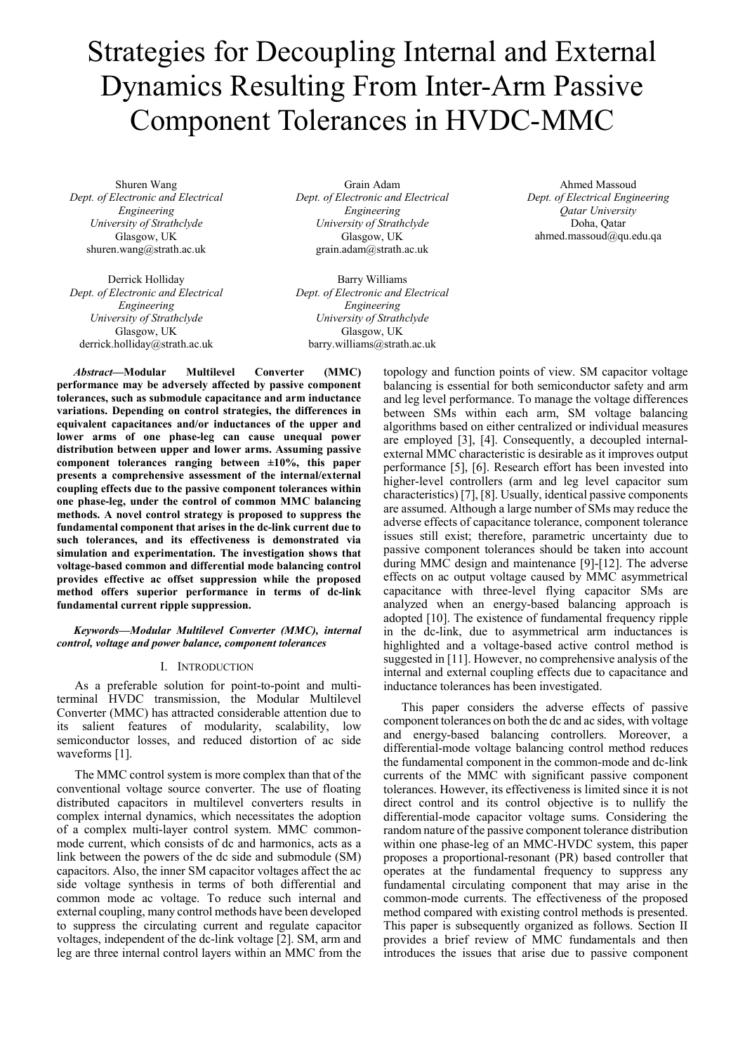# Strategies for Decoupling Internal and External Dynamics Resulting From Inter-Arm Passive Component Tolerances in HVDC-MMC

Shuren Wang *Dept. of Electronic and Electrical Engineering University of Strathclyde*  Glasgow, UK shuren.wang@strath.ac.uk

Derrick Holliday *Dept. of Electronic and Electrical Engineering University of Strathclyde*  Glasgow, UK derrick.holliday@strath.ac.uk

Grain Adam *Dept. of Electronic and Electrical Engineering University of Strathclyde*  Glasgow, UK grain.adam@strath.ac.uk

Barry Williams *Dept. of Electronic and Electrical Engineering University of Strathclyde*  Glasgow, UK barry.williams@strath.ac.uk

Ahmed Massoud *Dept. of Electrical Engineering Qatar University*  Doha, Qatar ahmed.massoud@qu.edu.qa

*Abstract***—Modular Multilevel Converter (MMC) performance may be adversely affected by passive component tolerances, such as submodule capacitance and arm inductance variations. Depending on control strategies, the differences in equivalent capacitances and/or inductances of the upper and lower arms of one phase-leg can cause unequal power distribution between upper and lower arms. Assuming passive component tolerances ranging between ±10%, this paper presents a comprehensive assessment of the internal/external coupling effects due to the passive component tolerances within one phase-leg, under the control of common MMC balancing methods. A novel control strategy is proposed to suppress the fundamental component that arises in the dc-link current due to such tolerances, and its effectiveness is demonstrated via simulation and experimentation. The investigation shows that voltage-based common and differential mode balancing control provides effective ac offset suppression while the proposed method offers superior performance in terms of dc-link fundamental current ripple suppression.** 

### *Keywords—Modular Multilevel Converter (MMC), internal control, voltage and power balance, component tolerances*

# I. INTRODUCTION

As a preferable solution for point-to-point and multiterminal HVDC transmission, the Modular Multilevel Converter (MMC) has attracted considerable attention due to its salient features of modularity, scalability, low semiconductor losses, and reduced distortion of ac side waveforms [1].

The MMC control system is more complex than that of the conventional voltage source converter. The use of floating distributed capacitors in multilevel converters results in complex internal dynamics, which necessitates the adoption of a complex multi-layer control system. MMC commonmode current, which consists of dc and harmonics, acts as a link between the powers of the dc side and submodule (SM) capacitors. Also, the inner SM capacitor voltages affect the ac side voltage synthesis in terms of both differential and common mode ac voltage. To reduce such internal and external coupling, many control methods have been developed to suppress the circulating current and regulate capacitor voltages, independent of the dc-link voltage [2]. SM, arm and leg are three internal control layers within an MMC from the topology and function points of view. SM capacitor voltage balancing is essential for both semiconductor safety and arm and leg level performance. To manage the voltage differences between SMs within each arm, SM voltage balancing algorithms based on either centralized or individual measures are employed [3], [4]. Consequently, a decoupled internalexternal MMC characteristic is desirable as it improves output performance [5], [6]. Research effort has been invested into higher-level controllers (arm and leg level capacitor sum characteristics) [7], [8]. Usually, identical passive components are assumed. Although a large number of SMs may reduce the adverse effects of capacitance tolerance, component tolerance issues still exist; therefore, parametric uncertainty due to passive component tolerances should be taken into account during MMC design and maintenance [9]-[12]. The adverse effects on ac output voltage caused by MMC asymmetrical capacitance with three-level flying capacitor SMs are analyzed when an energy-based balancing approach is adopted [10]. The existence of fundamental frequency ripple in the dc-link, due to asymmetrical arm inductances is highlighted and a voltage-based active control method is suggested in [11]. However, no comprehensive analysis of the internal and external coupling effects due to capacitance and inductance tolerances has been investigated.

This paper considers the adverse effects of passive component tolerances on both the dc and ac sides, with voltage and energy-based balancing controllers. Moreover, a differential-mode voltage balancing control method reduces the fundamental component in the common-mode and dc-link currents of the MMC with significant passive component tolerances. However, its effectiveness is limited since it is not direct control and its control objective is to nullify the differential-mode capacitor voltage sums. Considering the random nature of the passive component tolerance distribution within one phase-leg of an MMC-HVDC system, this paper proposes a proportional-resonant (PR) based controller that operates at the fundamental frequency to suppress any fundamental circulating component that may arise in the common-mode currents. The effectiveness of the proposed method compared with existing control methods is presented. This paper is subsequently organized as follows. Section II provides a brief review of MMC fundamentals and then introduces the issues that arise due to passive component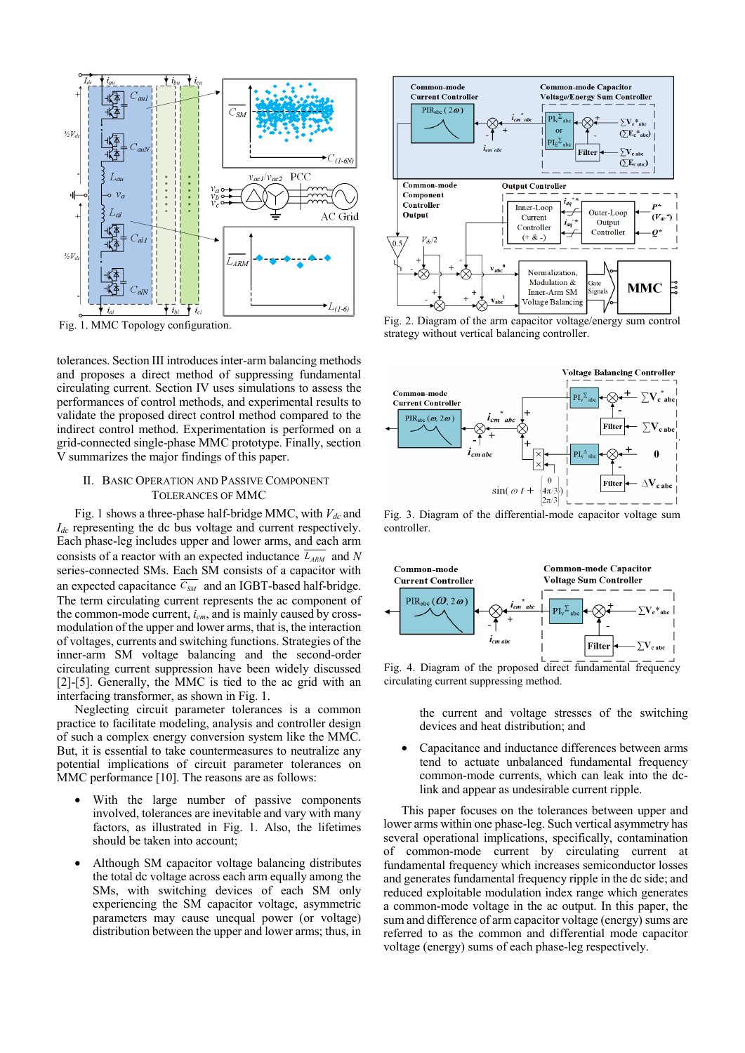

tolerances. Section III introduces inter-arm balancing methods and proposes a direct method of suppressing fundamental circulating current. Section IV uses simulations to assess the performances of control methods, and experimental results to validate the proposed direct control method compared to the indirect control method. Experimentation is performed on a grid-connected single-phase MMC prototype. Finally, section V summarizes the major findings of this paper.

# II. BASIC OPERATION AND PASSIVE COMPONENT TOLERANCES OF MMC

Fig. 1 shows a three-phase half-bridge MMC, with  $V_{dc}$  and *I<sub>dc</sub>* representing the dc bus voltage and current respectively. Each phase-leg includes upper and lower arms, and each arm consists of a reactor with an expected inductance  $\overline{L_{ARM}}$  and *N* series-connected SMs. Each SM consists of a capacitor with an expected capacitance  $C_{SM}$  and an IGBT-based half-bridge. The term circulating current represents the ac component of the common-mode current, *icm*, and is mainly caused by crossmodulation of the upper and lower arms, that is, the interaction of voltages, currents and switching functions. Strategies of the inner-arm SM voltage balancing and the second-order circulating current suppression have been widely discussed [2]-[5]. Generally, the MMC is tied to the ac grid with an interfacing transformer, as shown in Fig. 1.

Neglecting circuit parameter tolerances is a common practice to facilitate modeling, analysis and controller design of such a complex energy conversion system like the MMC. But, it is essential to take countermeasures to neutralize any potential implications of circuit parameter tolerances on MMC performance [10]. The reasons are as follows:

- With the large number of passive components involved, tolerances are inevitable and vary with many factors, as illustrated in Fig. 1. Also, the lifetimes should be taken into account;
- Although SM capacitor voltage balancing distributes the total dc voltage across each arm equally among the SMs, with switching devices of each SM only experiencing the SM capacitor voltage, asymmetric parameters may cause unequal power (or voltage) distribution between the upper and lower arms; thus, in



Fig. 1. MMC Topology configuration. Fig. 2. Diagram of the arm capacitor voltage/energy sum control strategy without vertical balancing controller.



Fig. 3. Diagram of the differential-mode capacitor voltage sum controller.



Fig. 4. Diagram of the proposed direct fundamental frequency circulating current suppressing method.

the current and voltage stresses of the switching devices and heat distribution; and

• Capacitance and inductance differences between arms tend to actuate unbalanced fundamental frequency common-mode currents, which can leak into the dclink and appear as undesirable current ripple.

This paper focuses on the tolerances between upper and lower arms within one phase-leg. Such vertical asymmetry has several operational implications, specifically, contamination of common-mode current by circulating current at fundamental frequency which increases semiconductor losses and generates fundamental frequency ripple in the dc side; and reduced exploitable modulation index range which generates a common-mode voltage in the ac output. In this paper, the sum and difference of arm capacitor voltage (energy) sums are referred to as the common and differential mode capacitor voltage (energy) sums of each phase-leg respectively.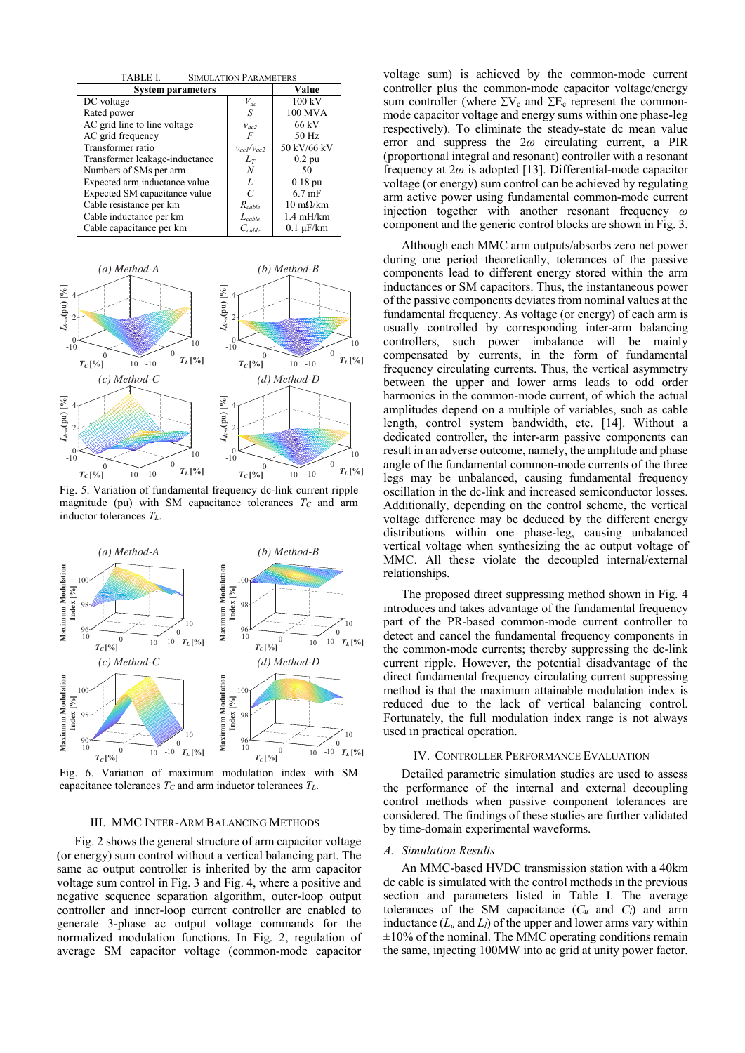

Fig. 5. Variation of fundamental frequency dc-link current ripple magnitude (pu) with SM capacitance tolerances  $T_c$  and arm inductor tolerances *TL*.



Fig. 6. Variation of maximum modulation index with SM capacitance tolerances  $T_C$  and arm inductor tolerances  $T_L$ .

#### III. MMC INTER-ARM BALANCING METHODS

Fig. 2 shows the general structure of arm capacitor voltage (or energy) sum control without a vertical balancing part. The same ac output controller is inherited by the arm capacitor voltage sum control in Fig. 3 and Fig. 4, where a positive and negative sequence separation algorithm, outer-loop output controller and inner-loop current controller are enabled to generate 3-phase ac output voltage commands for the normalized modulation functions. In Fig. 2, regulation of average SM capacitor voltage (common-mode capacitor

voltage sum) is achieved by the common-mode current controller plus the common-mode capacitor voltage/energy sum controller (where  $\Sigma V_c$  and  $\Sigma E_c$  represent the commonmode capacitor voltage and energy sums within one phase-leg respectively). To eliminate the steady-state dc mean value error and suppress the 2*ω* circulating current, a PIR (proportional integral and resonant) controller with a resonant frequency at 2*ω* is adopted [13]. Differential-mode capacitor voltage (or energy) sum control can be achieved by regulating arm active power using fundamental common-mode current injection together with another resonant frequency *ω* component and the generic control blocks are shown in Fig. 3.

Although each MMC arm outputs/absorbs zero net power during one period theoretically, tolerances of the passive components lead to different energy stored within the arm inductances or SM capacitors. Thus, the instantaneous power of the passive components deviates from nominal values at the fundamental frequency. As voltage (or energy) of each arm is usually controlled by corresponding inter-arm balancing controllers, such power imbalance will be mainly compensated by currents, in the form of fundamental frequency circulating currents. Thus, the vertical asymmetry between the upper and lower arms leads to odd order harmonics in the common-mode current, of which the actual amplitudes depend on a multiple of variables, such as cable length, control system bandwidth, etc. [14]. Without a dedicated controller, the inter-arm passive components can result in an adverse outcome, namely, the amplitude and phase angle of the fundamental common-mode currents of the three legs may be unbalanced, causing fundamental frequency oscillation in the dc-link and increased semiconductor losses. Additionally, depending on the control scheme, the vertical voltage difference may be deduced by the different energy distributions within one phase-leg, causing unbalanced vertical voltage when synthesizing the ac output voltage of MMC. All these violate the decoupled internal/external relationships.

The proposed direct suppressing method shown in Fig. 4 introduces and takes advantage of the fundamental frequency part of the PR-based common-mode current controller to detect and cancel the fundamental frequency components in the common-mode currents; thereby suppressing the dc-link current ripple. However, the potential disadvantage of the direct fundamental frequency circulating current suppressing method is that the maximum attainable modulation index is reduced due to the lack of vertical balancing control. Fortunately, the full modulation index range is not always used in practical operation.

# IV. CONTROLLER PERFORMANCE EVALUATION

Detailed parametric simulation studies are used to assess the performance of the internal and external decoupling control methods when passive component tolerances are considered. The findings of these studies are further validated by time-domain experimental waveforms.

# *A. Simulation Results*

An MMC-based HVDC transmission station with a 40km dc cable is simulated with the control methods in the previous section and parameters listed in Table I. The average tolerances of the SM capacitance  $(C_u$  and  $C_l$ ) and arm inductance  $(L_u$  and  $L_l$ ) of the upper and lower arms vary within  $\pm 10\%$  of the nominal. The MMC operating conditions remain the same, injecting 100MW into ac grid at unity power factor.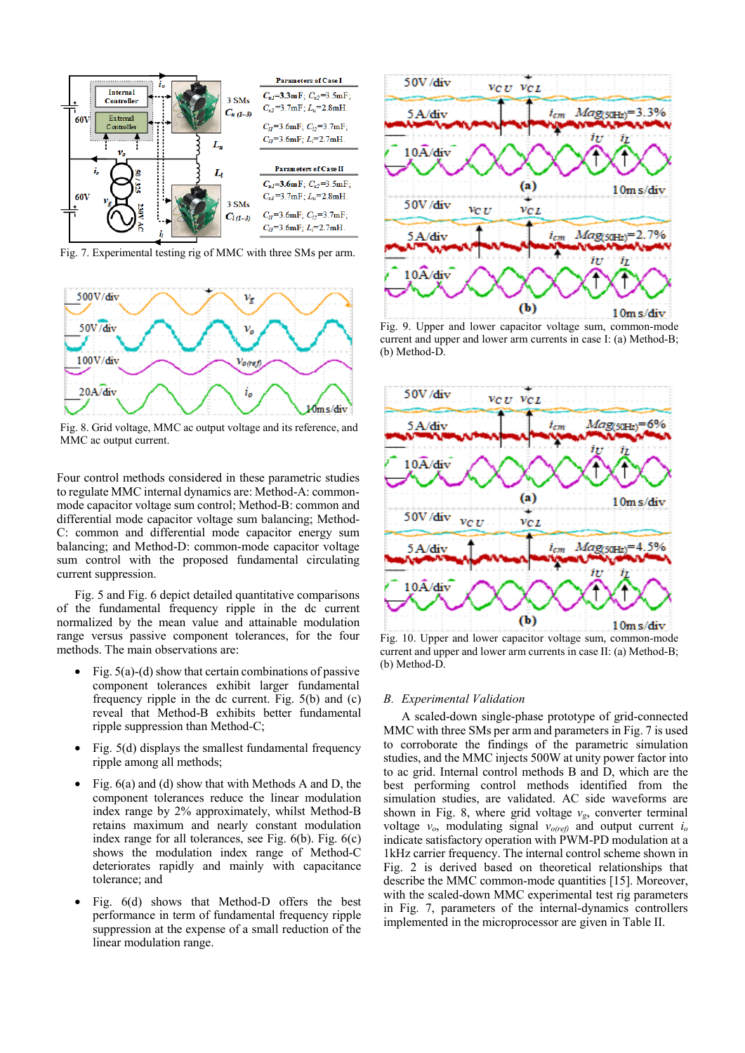

Fig. 7. Experimental testing rig of MMC with three SMs per arm.



Fig. 8. Grid voltage, MMC ac output voltage and its reference, and MMC ac output current.

Four control methods considered in these parametric studies to regulate MMC internal dynamics are: Method-A: commonmode capacitor voltage sum control; Method-B: common and differential mode capacitor voltage sum balancing; Method-C: common and differential mode capacitor energy sum balancing; and Method-D: common-mode capacitor voltage sum control with the proposed fundamental circulating current suppression.

Fig. 5 and Fig. 6 depict detailed quantitative comparisons of the fundamental frequency ripple in the dc current normalized by the mean value and attainable modulation range versus passive component tolerances, for the four methods. The main observations are:

- Fig.  $5(a)$ -(d) show that certain combinations of passive component tolerances exhibit larger fundamental frequency ripple in the dc current. Fig. 5(b) and (c) reveal that Method-B exhibits better fundamental ripple suppression than Method-C;
- Fig.  $5(d)$  displays the smallest fundamental frequency ripple among all methods;
- Fig.  $6(a)$  and (d) show that with Methods A and D, the component tolerances reduce the linear modulation index range by 2% approximately, whilst Method-B retains maximum and nearly constant modulation index range for all tolerances, see Fig. 6(b). Fig. 6(c) shows the modulation index range of Method-C deteriorates rapidly and mainly with capacitance tolerance; and
- Fig. 6(d) shows that Method-D offers the best performance in term of fundamental frequency ripple suppression at the expense of a small reduction of the linear modulation range.



Fig. 9. Upper and lower capacitor voltage sum, common-mode current and upper and lower arm currents in case I: (a) Method-B; (b) Method-D.



Fig. 10. Upper and lower capacitor voltage sum, common-mode current and upper and lower arm currents in case II: (a) Method-B; (b) Method-D.

## *B. Experimental Validation*

A scaled-down single-phase prototype of grid-connected MMC with three SMs per arm and parameters in Fig. 7 is used to corroborate the findings of the parametric simulation studies, and the MMC injects 500W at unity power factor into to ac grid. Internal control methods B and D, which are the best performing control methods identified from the simulation studies, are validated. AC side waveforms are shown in Fig. 8, where grid voltage  $v_g$ , converter terminal voltage *vo*, modulating signal *vo(ref)* and output current *io* indicate satisfactory operation with PWM-PD modulation at a 1kHz carrier frequency. The internal control scheme shown in Fig. 2 is derived based on theoretical relationships that describe the MMC common-mode quantities [15]. Moreover, with the scaled-down MMC experimental test rig parameters in Fig. 7, parameters of the internal-dynamics controllers implemented in the microprocessor are given in Table II.